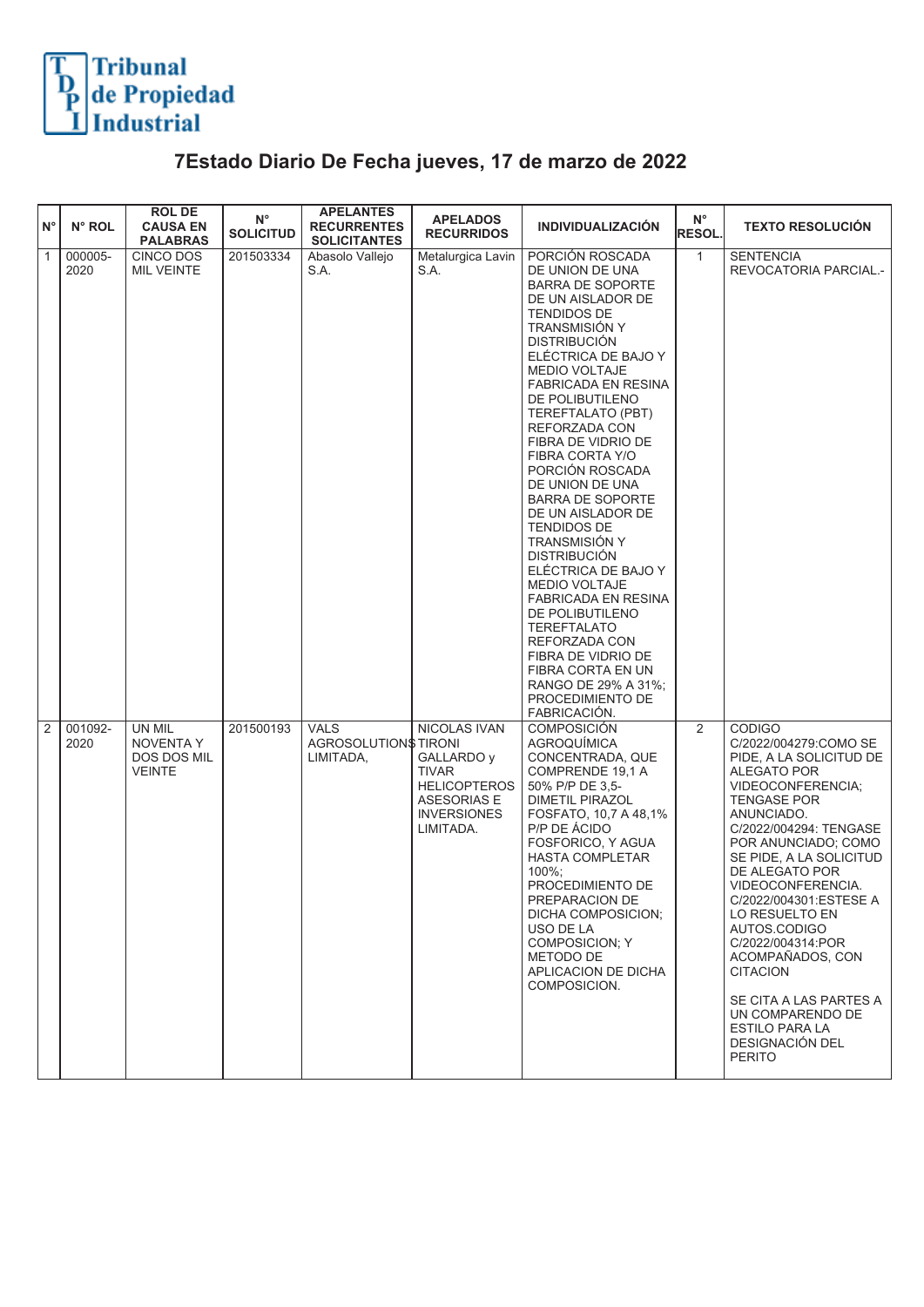

## **7Estado Diario De Fecha jueves, 17 de marzo de 2022**

| ١N°            | N° ROL          | <b>ROL DE</b><br><b>CAUSA EN</b><br><b>PALABRAS</b>               | $N^{\circ}$<br><b>SOLICITUD</b> | <b>APELANTES</b><br><b>RECURRENTES</b><br><b>SOLICITANTES</b> | <b>APELADOS</b><br><b>RECURRIDOS</b>                                                                                              | <b>INDIVIDUALIZACIÓN</b>                                                                                                                                                                                                                                                                                                                                                                                                                                                                                                                                                                                                                                                                             | $\mathsf{N}^\circ$<br><b>RESOL.</b> | <b>TEXTO RESOLUCIÓN</b>                                                                                                                                                                                                                                                                                                                                                                                                                                                                  |
|----------------|-----------------|-------------------------------------------------------------------|---------------------------------|---------------------------------------------------------------|-----------------------------------------------------------------------------------------------------------------------------------|------------------------------------------------------------------------------------------------------------------------------------------------------------------------------------------------------------------------------------------------------------------------------------------------------------------------------------------------------------------------------------------------------------------------------------------------------------------------------------------------------------------------------------------------------------------------------------------------------------------------------------------------------------------------------------------------------|-------------------------------------|------------------------------------------------------------------------------------------------------------------------------------------------------------------------------------------------------------------------------------------------------------------------------------------------------------------------------------------------------------------------------------------------------------------------------------------------------------------------------------------|
| $\boxed{1}$    | 000005-<br>2020 | CINCO DOS<br><b>MIL VEINTE</b>                                    | 201503334                       | Abasolo Vallejo<br>S.A.                                       | Metalurgica Lavin<br>S.A.                                                                                                         | PORCIÓN ROSCADA<br>DE UNION DE UNA<br>BARRA DE SOPORTE<br>DE UN AISLADOR DE<br>TENDIDOS DE<br>TRANSMISIÓN Y<br><b>DISTRIBUCIÓN</b><br>ELÉCTRICA DE BAJO Y<br><b>MEDIO VOLTAJE</b><br>FABRICADA EN RESINA<br>DE POLIBUTILENO<br>TEREFTALATO (PBT)<br>REFORZADA CON<br>FIBRA DE VIDRIO DE<br>FIBRA CORTA Y/O<br>PORCIÓN ROSCADA<br>DE UNION DE UNA<br><b>BARRA DE SOPORTE</b><br>DE UN AISLADOR DE<br>TENDIDOS DE<br>TRANSMISIÓN Y<br><b>DISTRIBUCIÓN</b><br>ELÉCTRICA DE BAJO Y<br><b>MEDIO VOLTAJE</b><br><b>FABRICADA EN RESINA</b><br>DE POLIBUTILENO<br><b>TEREFTALATO</b><br>REFORZADA CON<br>FIBRA DE VIDRIO DE<br>FIBRA CORTA EN UN<br>RANGO DE 29% A 31%;<br>PROCEDIMIENTO DE<br>FABRICACIÓN. | $\mathbf{1}$                        | <b>SENTENCIA</b><br>REVOCATORIA PARCIAL.-                                                                                                                                                                                                                                                                                                                                                                                                                                                |
| $\overline{2}$ | 001092-<br>2020 | <b>UN MIL</b><br><b>NOVENTA Y</b><br>DOS DOS MIL<br><b>VEINTE</b> | 201500193                       | <b>VALS</b><br>AGROSOLUTION\$ TIRONI<br>LIMITADA,             | <b>NICOLAS IVAN</b><br>GALLARDO y<br><b>TIVAR</b><br><b>HELICOPTEROS</b><br><b>ASESORIAS E</b><br><b>INVERSIONES</b><br>LIMITADA. | <b>COMPOSICIÓN</b><br>AGROQUÍMICA<br>CONCENTRADA, QUE<br>COMPRENDE 19,1 A<br>50% P/P DE 3,5-<br><b>DIMETIL PIRAZOL</b><br>FOSFATO, 10,7 A 48,1%<br>P/P DE ÁCIDO<br>FOSFORICO, Y AGUA<br><b>HASTA COMPLETAR</b><br>100%;<br>PROCEDIMIENTO DE<br>PREPARACION DE<br>DICHA COMPOSICION;<br>USO DE LA<br><b>COMPOSICION: Y</b><br>METODO DE<br>APLICACION DE DICHA<br>COMPOSICION.                                                                                                                                                                                                                                                                                                                        | $\overline{2}$                      | <b>CODIGO</b><br>C/2022/004279:COMO SE<br>PIDE, A LA SOLICITUD DE<br>ALEGATO POR<br>VIDEOCONFERENCIA;<br><b>TENGASE POR</b><br>ANUNCIADO.<br>C/2022/004294: TENGASE<br>POR ANUNCIADO; COMO<br>SE PIDE, A LA SOLICITUD<br>DE ALEGATO POR<br>VIDEOCONFERENCIA.<br>C/2022/004301:ESTESE A<br>LO RESUELTO EN<br>AUTOS.CODIGO<br>C/2022/004314:POR<br>ACOMPAÑADOS, CON<br><b>CITACION</b><br>SE CITA A LAS PARTES A<br>UN COMPARENDO DE<br>ESTILO PARA LA<br>DESIGNACIÓN DEL<br><b>PERITO</b> |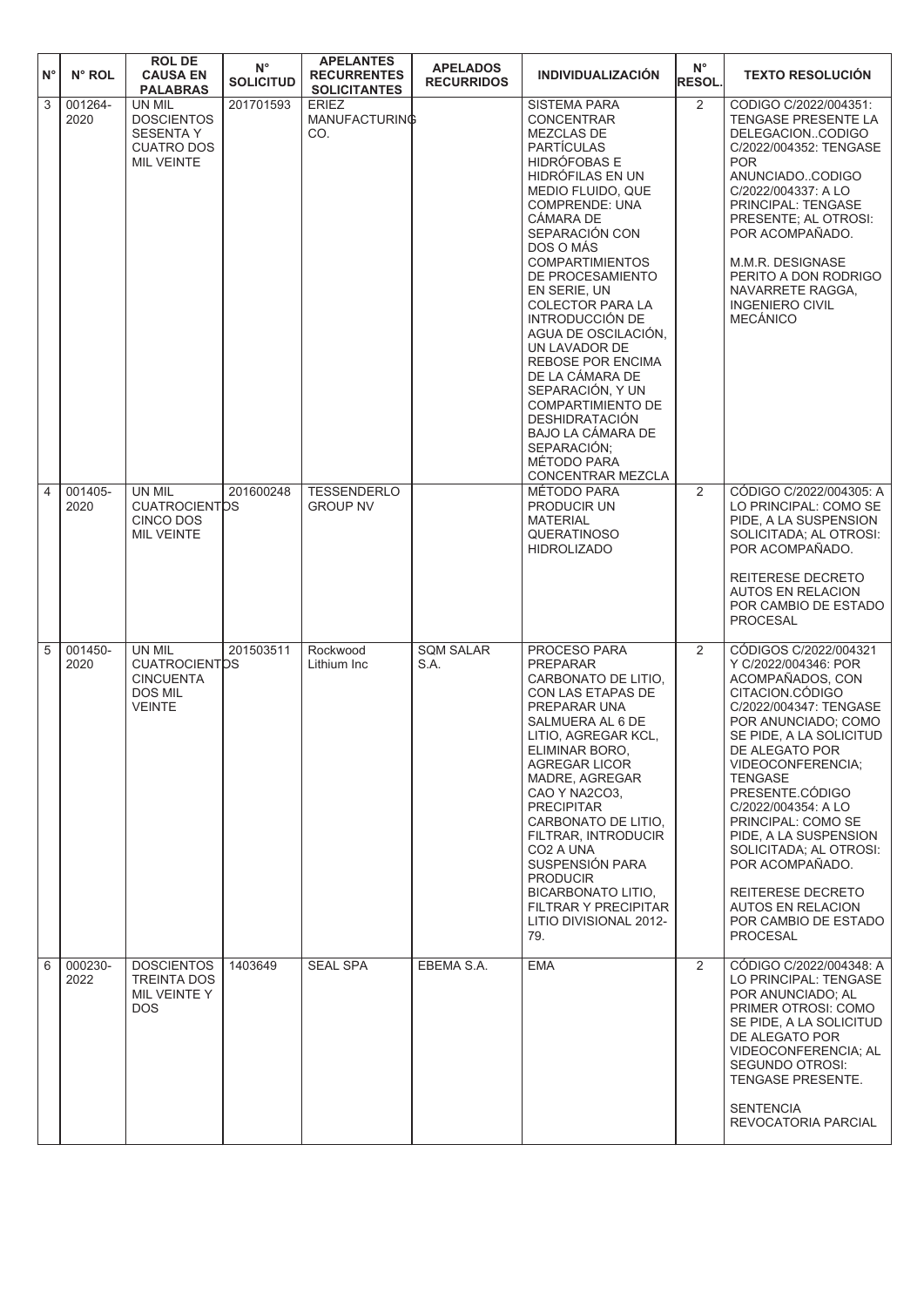| $N^{\circ}$ | N° ROL          | <b>ROL DE</b><br><b>CAUSA EN</b><br><b>PALABRAS</b>                                       | $N^{\circ}$<br><b>SOLICITUD</b> | <b>APELANTES</b><br><b>RECURRENTES</b><br><b>SOLICITANTES</b> | <b>APELADOS</b><br><b>RECURRIDOS</b> | <b>INDIVIDUALIZACIÓN</b>                                                                                                                                                                                                                                                                                                                                                                                                                                                                                                                                             | $N^{\circ}$<br><b>RESOL.</b> | <b>TEXTO RESOLUCIÓN</b>                                                                                                                                                                                                                                                                                                                                                                                                                              |
|-------------|-----------------|-------------------------------------------------------------------------------------------|---------------------------------|---------------------------------------------------------------|--------------------------------------|----------------------------------------------------------------------------------------------------------------------------------------------------------------------------------------------------------------------------------------------------------------------------------------------------------------------------------------------------------------------------------------------------------------------------------------------------------------------------------------------------------------------------------------------------------------------|------------------------------|------------------------------------------------------------------------------------------------------------------------------------------------------------------------------------------------------------------------------------------------------------------------------------------------------------------------------------------------------------------------------------------------------------------------------------------------------|
| 3           | 001264-<br>2020 | UN MIL<br><b>DOSCIENTOS</b><br><b>SESENTA Y</b><br><b>CUATRO DOS</b><br><b>MIL VEINTE</b> | 201701593                       | <b>ERIEZ</b><br>MANUFACTURING<br>CO.                          |                                      | <b>SISTEMA PARA</b><br><b>CONCENTRAR</b><br>MEZCLAS DE<br><b>PARTÍCULAS</b><br><b>HIDRÓFOBAS E</b><br>HIDRÓFILAS EN UN<br>MEDIO FLUIDO, QUE<br><b>COMPRENDE: UNA</b><br><b>CÁMARA DE</b><br>SEPARACIÓN CON<br>DOS O MÁS<br><b>COMPARTIMIENTOS</b><br>DE PROCESAMIENTO<br>EN SERIE, UN<br><b>COLECTOR PARA LA</b><br>INTRODUCCIÓN DE<br>AGUA DE OSCILACIÓN.<br>UN LAVADOR DE<br><b>REBOSE POR ENCIMA</b><br>DE LA CÁMARA DE<br>SEPARACIÓN, Y UN<br>COMPARTIMIENTO DE<br><b>DESHIDRATACIÓN</b><br>BAJO LA CÁMARA DE<br>SEPARACIÓN;<br>MÉTODO PARA<br>CONCENTRAR MEZCLA | $\overline{2}$               | CODIGO C/2022/004351:<br>TENGASE PRESENTE LA<br>DELEGACIONCODIGO<br>C/2022/004352: TENGASE<br><b>POR</b><br>ANUNCIADOCODIGO<br>C/2022/004337: A LO<br>PRINCIPAL: TENGASE<br>PRESENTE: AL OTROSI:<br>POR ACOMPAÑADO.<br>M.M.R. DESIGNASE<br>PERITO A DON RODRIGO<br>NAVARRETE RAGGA,<br><b>INGENIERO CIVIL</b><br><b>MECÁNICO</b>                                                                                                                     |
| 4           | 001405-<br>2020 | UN MIL<br><b>CUATROCIENTOS</b><br>CINCO DOS<br><b>MIL VEINTE</b>                          | 201600248                       | <b>TESSENDERLO</b><br><b>GROUP NV</b>                         |                                      | MÉTODO PARA<br>PRODUCIR UN<br><b>MATERIAL</b><br><b>QUERATINOSO</b><br><b>HIDROLIZADO</b>                                                                                                                                                                                                                                                                                                                                                                                                                                                                            | $\overline{2}$               | CÓDIGO C/2022/004305: A<br>LO PRINCIPAL: COMO SE<br>PIDE, A LA SUSPENSION<br>SOLICITADA; AL OTROSI:<br>POR ACOMPAÑADO.<br>REITERESE DECRETO<br><b>AUTOS EN RELACION</b><br>POR CAMBIO DE ESTADO<br><b>PROCESAL</b>                                                                                                                                                                                                                                   |
| 5           | 001450-<br>2020 | UN MIL<br><b>CUATROCIENTOS</b><br><b>CINCUENTA</b><br><b>DOS MIL</b><br><b>VEINTE</b>     | 201503511                       | Rockwood<br>Lithium Inc                                       | <b>SQM SALAR</b><br>S.A.             | PROCESO PARA<br><b>PREPARAR</b><br>CARBONATO DE LITIO.<br>CON LAS ETAPAS DE<br>PREPARAR UNA<br>SALMUERA AL 6 DE<br>LITIO, AGREGAR KCL,<br>ELIMINAR BORO,<br>AGREGAR LICOR<br>MADRE, AGREGAR<br>CAO Y NA2CO3,<br><b>PRECIPITAR</b><br>CARBONATO DE LITIO.<br>FILTRAR, INTRODUCIR<br>CO <sub>2</sub> A UNA<br><b>SUSPENSION PARA</b><br><b>PRODUCIR</b><br><b>BICARBONATO LITIO.</b><br><b>FILTRAR Y PRECIPITAR</b><br>LITIO DIVISIONAL 2012-<br>79.                                                                                                                   | 2                            | CÓDIGOS C/2022/004321<br>Y C/2022/004346: POR<br>ACOMPAÑADOS, CON<br>CITACION.CÓDIGO<br>C/2022/004347: TENGASE<br>POR ANUNCIADO; COMO<br>SE PIDE, A LA SOLICITUD<br>DE ALEGATO POR<br>VIDEOCONFERENCIA;<br><b>TENGASE</b><br>PRESENTE.CÓDIGO<br>C/2022/004354: A LO<br>PRINCIPAL: COMO SE<br>PIDE, A LA SUSPENSION<br>SOLICITADA: AL OTROSI:<br>POR ACOMPAÑADO.<br>REITERESE DECRETO<br>AUTOS EN RELACION<br>POR CAMBIO DE ESTADO<br><b>PROCESAL</b> |
| 6           | 000230-<br>2022 | <b>DOSCIENTOS</b><br><b>TREINTA DOS</b><br>MIL VEINTE Y<br>DOS.                           | 1403649                         | <b>SEAL SPA</b>                                               | EBEMA S.A.                           | <b>EMA</b>                                                                                                                                                                                                                                                                                                                                                                                                                                                                                                                                                           | $\overline{2}$               | CÓDIGO C/2022/004348: A<br>LO PRINCIPAL: TENGASE<br>POR ANUNCIADO; AL<br>PRIMER OTROSI: COMO<br>SE PIDE, A LA SOLICITUD<br>DE ALEGATO POR<br>VIDEOCONFERENCIA; AL<br>SEGUNDO OTROSI:<br>TENGASE PRESENTE.<br><b>SENTENCIA</b><br>REVOCATORIA PARCIAL                                                                                                                                                                                                 |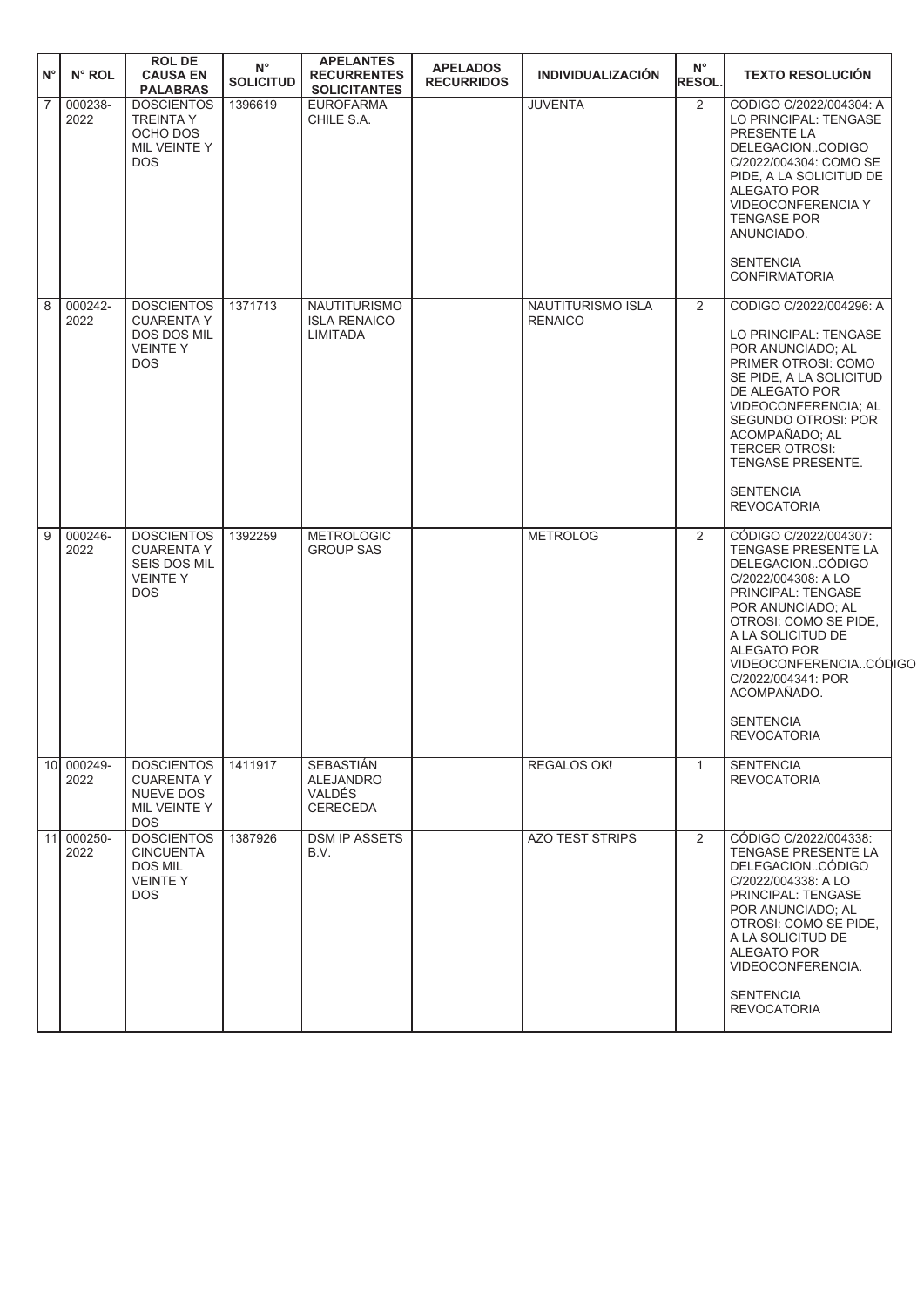| $N^{\circ}$    | $N^{\circ}$ ROL    | <b>ROL DE</b><br><b>CAUSA EN</b><br><b>PALABRAS</b>                                    | $N^{\circ}$<br><b>SOLICITUD</b> | <b>APELANTES</b><br><b>RECURRENTES</b><br><b>SOLICITANTES</b>     | <b>APELADOS</b><br><b>RECURRIDOS</b> | <b>INDIVIDUALIZACIÓN</b>            | $N^{\circ}$<br><b>RESOL.</b> | <b>TEXTO RESOLUCIÓN</b>                                                                                                                                                                                                                                                                                         |  |
|----------------|--------------------|----------------------------------------------------------------------------------------|---------------------------------|-------------------------------------------------------------------|--------------------------------------|-------------------------------------|------------------------------|-----------------------------------------------------------------------------------------------------------------------------------------------------------------------------------------------------------------------------------------------------------------------------------------------------------------|--|
| $\overline{7}$ | 000238-<br>2022    | <b>DOSCIENTOS</b><br><b>TREINTA Y</b><br>OCHO DOS<br>MIL VEINTE Y<br><b>DOS</b>        | 1396619                         | <b>EUROFARMA</b><br>CHILE S.A.                                    |                                      | <b>JUVENTA</b>                      | 2                            | CODIGO C/2022/004304: A<br>LO PRINCIPAL: TENGASE<br>PRESENTE LA<br>DELEGACIONCODIGO<br>C/2022/004304: COMO SE<br>PIDE, A LA SOLICITUD DE<br>ALEGATO POR<br>VIDEOCONFERENCIA Y<br><b>TENGASE POR</b><br>ANUNCIADO.<br><b>SENTENCIA</b><br><b>CONFIRMATORIA</b>                                                   |  |
| 8              | 000242-<br>2022    | <b>DOSCIENTOS</b><br><b>CUARENTA Y</b><br>DOS DOS MIL<br><b>VEINTEY</b><br><b>DOS</b>  | 1371713                         | <b>NAUTITURISMO</b><br><b>ISLA RENAICO</b><br>LIMITADA            |                                      | NAUTITURISMO ISLA<br><b>RENAICO</b> | 2                            | CODIGO C/2022/004296: A<br>LO PRINCIPAL: TENGASE<br>POR ANUNCIADO; AL<br>PRIMER OTROSI: COMO<br>SE PIDE, A LA SOLICITUD<br>DE ALEGATO POR<br>VIDEOCONFERENCIA; AL<br>SEGUNDO OTROSI: POR<br>ACOMPAÑADO: AL<br><b>TERCER OTROSI:</b><br>TENGASE PRESENTE.<br><b>SENTENCIA</b><br><b>REVOCATORIA</b>              |  |
| 9              | 000246-<br>2022    | <b>DOSCIENTOS</b><br><b>CUARENTA Y</b><br>SEIS DOS MIL<br><b>VEINTEY</b><br><b>DOS</b> | 1392259                         | <b>METROLOGIC</b><br><b>GROUP SAS</b>                             |                                      | <b>METROLOG</b>                     | 2                            | CÓDIGO C/2022/004307:<br>TENGASE PRESENTE LA<br>DELEGACIONCÓDIGO<br>C/2022/004308: A LO<br>PRINCIPAL: TENGASE<br>POR ANUNCIADO; AL<br>OTROSI: COMO SE PIDE,<br>A LA SOLICITUD DE<br><b>ALEGATO POR</b><br>VIDEOCONFERENCIACÓDIGC<br>C/2022/004341: POR<br>ACOMPAÑADO.<br><b>SENTENCIA</b><br><b>REVOCATORIA</b> |  |
|                | 10 000249-<br>2022 | DOSCIENTOS   1411917<br><b>CUARENTA Y</b><br>NUEVE DOS<br>MIL VEINTE Y<br>DOS.         |                                 | SEBASTIÁN<br><b>ALEJANDRO</b><br><b>VALDÉS</b><br><b>CERECEDA</b> |                                      | REGALOS OK!                         | $\mathbf{1}$                 | <b>SENTENCIA</b><br><b>REVOCATORIA</b>                                                                                                                                                                                                                                                                          |  |
|                | 11 000250-<br>2022 | <b>DOSCIENTOS</b><br><b>CINCUENTA</b><br><b>DOS MIL</b><br><b>VEINTEY</b><br>DOS.      | 1387926                         | <b>DSM IP ASSETS</b><br>B.V.                                      |                                      | <b>AZO TEST STRIPS</b>              | 2                            | CÓDIGO C/2022/004338:<br>TENGASE PRESENTE LA<br>DELEGACIONCÓDIGO<br>C/2022/004338: A LO<br>PRINCIPAL: TENGASE<br>POR ANUNCIADO: AL<br>OTROSI: COMO SE PIDE,<br>A LA SOLICITUD DE<br>ALEGATO POR<br>VIDEOCONFERENCIA.<br><b>SENTENCIA</b><br><b>REVOCATORIA</b>                                                  |  |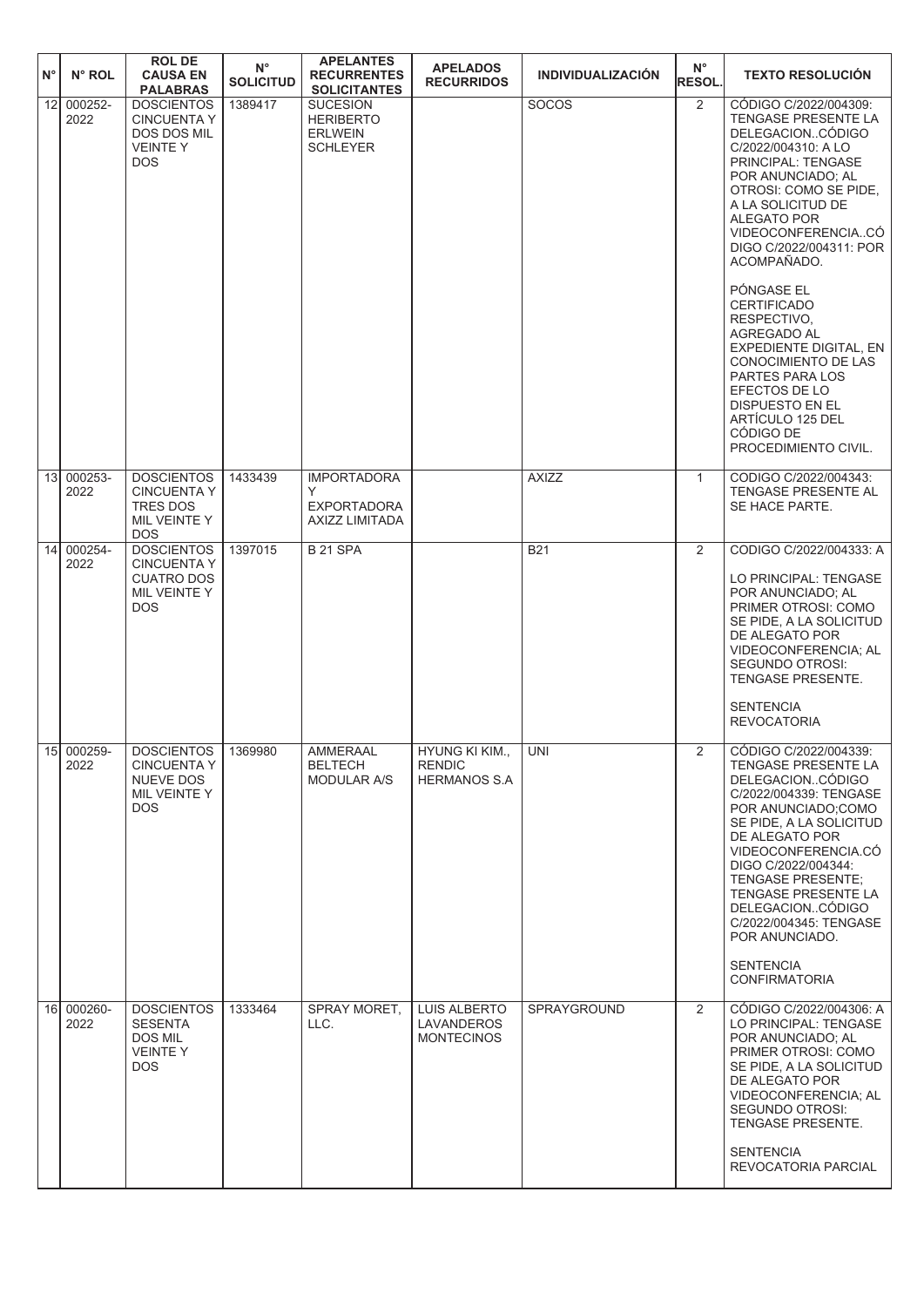| $N^{\circ}$ | N° ROL               | <b>ROL DE</b><br><b>CAUSA EN</b><br><b>PALABRAS</b>                                        | $N^{\circ}$<br><b>SOLICITUD</b> | <b>APELANTES</b><br><b>RECURRENTES</b><br><b>SOLICITANTES</b>            | <b>APELADOS</b><br><b>RECURRIDOS</b>                   | <b>INDIVIDUALIZACIÓN</b> | $N^{\circ}$<br><b>RESOL.</b> | <b>TEXTO RESOLUCIÓN</b>                                                                                                                                                                                                                                                                                                                                                                                                                                                                                          |
|-------------|----------------------|--------------------------------------------------------------------------------------------|---------------------------------|--------------------------------------------------------------------------|--------------------------------------------------------|--------------------------|------------------------------|------------------------------------------------------------------------------------------------------------------------------------------------------------------------------------------------------------------------------------------------------------------------------------------------------------------------------------------------------------------------------------------------------------------------------------------------------------------------------------------------------------------|
| 12          | 000252-<br>2022      | <b>DOSCIENTOS</b><br><b>CINCUENTA Y</b><br>DOS DOS MIL<br><b>VEINTEY</b><br><b>DOS</b>     | 1389417                         | <b>SUCESION</b><br><b>HERIBERTO</b><br><b>ERLWEIN</b><br><b>SCHLEYER</b> |                                                        | <b>SOCOS</b>             | $\overline{2}$               | CÓDIGO C/2022/004309:<br>TENGASE PRESENTE LA<br>DELEGACIONCÓDIGO<br>C/2022/004310: A LO<br>PRINCIPAL: TENGASE<br>POR ANUNCIADO; AL<br>OTROSI: COMO SE PIDE,<br>A LA SOLICITUD DE<br><b>ALEGATO POR</b><br>VIDEOCONFERENCIACO<br>DIGO C/2022/004311: POR<br>ACOMPAÑADO.<br>PÓNGASE EL<br><b>CERTIFICADO</b><br>RESPECTIVO,<br>AGREGADO AL<br>EXPEDIENTE DIGITAL, EN<br>CONOCIMIENTO DE LAS<br>PARTES PARA LOS<br>EFECTOS DE LO<br><b>DISPUESTO EN EL</b><br>ARTÍCULO 125 DEL<br>CÓDIGO DE<br>PROCEDIMIENTO CIVIL. |
|             | 13 000253-<br>2022   | <b>DOSCIENTOS</b><br><b>CINCUENTA Y</b>                                                    | 1433439                         | <b>IMPORTADORA</b><br>Y                                                  |                                                        | <b>AXIZZ</b>             | $\mathbf{1}$                 | CODIGO C/2022/004343:<br>TENGASE PRESENTE AL                                                                                                                                                                                                                                                                                                                                                                                                                                                                     |
|             |                      | <b>TRES DOS</b><br>MIL VEINTE Y<br><b>DOS</b>                                              |                                 | <b>EXPORTADORA</b><br>AXIZZ LIMITADA                                     |                                                        |                          |                              | SE HACE PARTE.                                                                                                                                                                                                                                                                                                                                                                                                                                                                                                   |
| 14          | 000254-<br>2022      | <b>DOSCIENTOS</b><br><b>CINCUENTA Y</b><br><b>CUATRO DOS</b><br>MIL VEINTE Y<br><b>DOS</b> | 1397015                         | <b>B 21 SPA</b>                                                          |                                                        | <b>B21</b>               | 2                            | CODIGO C/2022/004333: A<br>LO PRINCIPAL: TENGASE<br>POR ANUNCIADO; AL<br>PRIMER OTROSI: COMO<br>SE PIDE, A LA SOLICITUD<br>DE ALEGATO POR<br>VIDEOCONFERENCIA; AL<br><b>SEGUNDO OTROSI:</b><br><b>TENGASE PRESENTE.</b><br><b>SENTENCIA</b><br><b>REVOCATORIA</b>                                                                                                                                                                                                                                                |
|             | $15$ 000259-<br>2022 | <b>DOSCIENTOS</b><br><b>CINCUENTA Y</b><br>NUEVE DOS<br>MIL VEINTE Y<br>DOS.               | 1369980                         | AMMERAAL<br><b>BELTECH</b><br><b>MODULAR A/S</b>                         | HYUNG KI KIM.,<br><b>RENDIC</b><br><b>HERMANOS S.A</b> | <b>UNI</b>               | $\mathbf{Z}$                 | CÓDIGO C/2022/004339:<br><b>TENGASE PRESENTE LA</b><br>DELEGACIONCÓDIGO<br>C/2022/004339: TENGASE<br>POR ANUNCIADO;COMO<br>SE PIDE, A LA SOLICITUD<br>DE ALEGATO POR<br>VIDEOCONFERENCIA.CO<br>DIGO C/2022/004344:<br><b>TENGASE PRESENTE:</b><br>TENGASE PRESENTE LA<br>DELEGACIONCÓDIGO<br>C/2022/004345: TENGASE<br>POR ANUNCIADO.<br><b>SENTENCIA</b><br><b>CONFIRMATORIA</b>                                                                                                                                |
|             | 16 000260-<br>2022   | <b>DOSCIENTOS</b><br>SESENTA<br>DOS MIL<br><b>VEINTEY</b><br>DOS                           | 1333464                         | SPRAY MORET,<br>LLC.                                                     | <b>LUIS ALBERTO</b><br>LAVANDEROS<br><b>MONTECINOS</b> | SPRAYGROUND              | $\overline{2}$               | CÓDIGO C/2022/004306: A<br>LO PRINCIPAL: TENGASE<br>POR ANUNCIADO; AL<br>PRIMER OTROSI: COMO<br>SE PIDE, A LA SOLICITUD<br>DE ALEGATO POR<br>VIDEOCONFERENCIA; AL<br>SEGUNDO OTROSI:<br>TENGASE PRESENTE.<br><b>SENTENCIA</b><br>REVOCATORIA PARCIAL                                                                                                                                                                                                                                                             |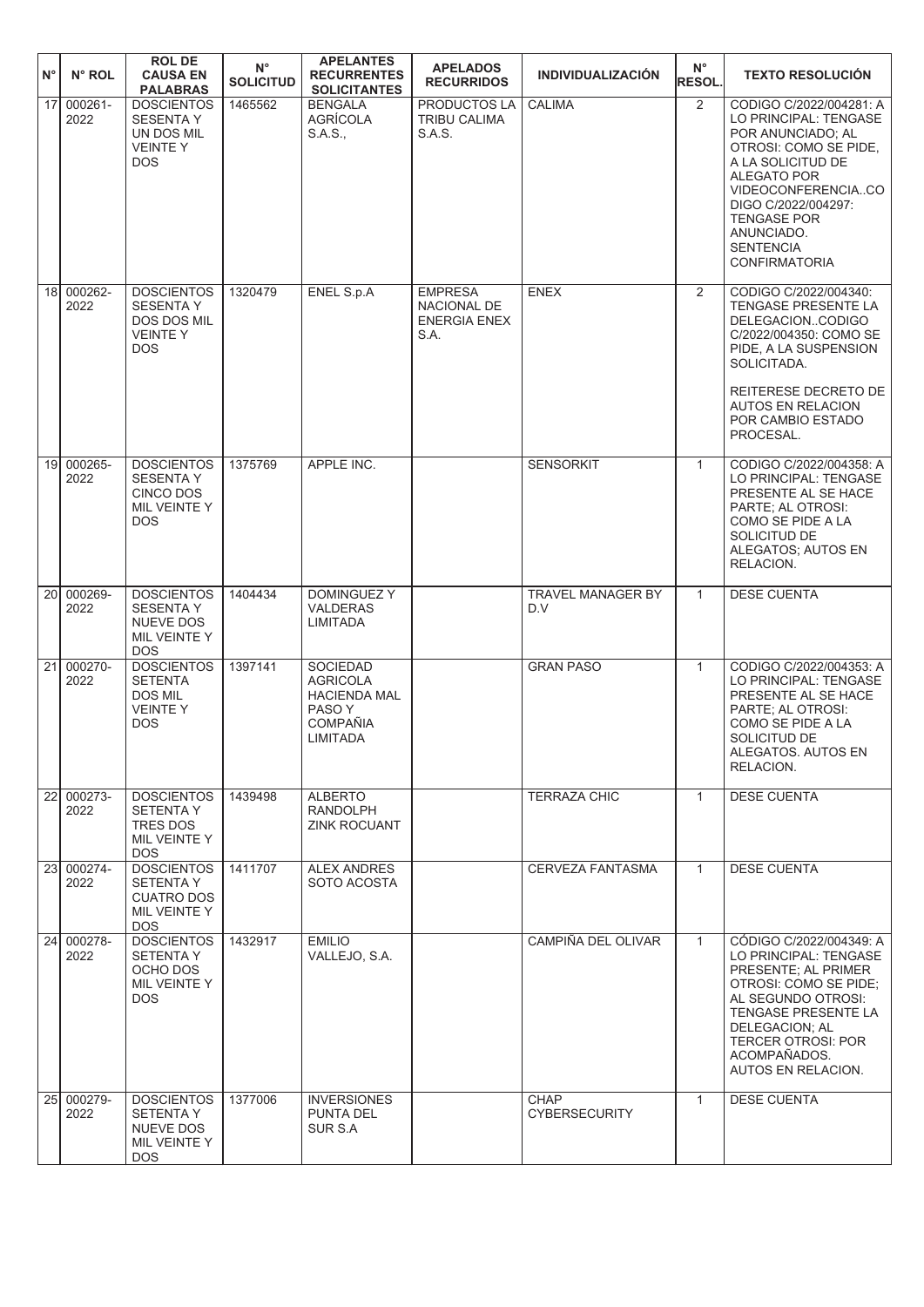| $N^{\circ}$     | N° ROL             | <b>ROLDE</b><br><b>CAUSA EN</b><br><b>PALABRAS</b>                                          | $N^{\circ}$<br><b>SOLICITUD</b> | <b>APELANTES</b><br><b>RECURRENTES</b><br><b>SOLICITANTES</b>                                      | <b>APELADOS</b><br><b>RECURRIDOS</b>                         | <b>INDIVIDUALIZACIÓN</b>            | $N^{\circ}$<br><b>RESOL.</b> | <b>TEXTO RESOLUCIÓN</b>                                                                                                                                                                                                                                         |
|-----------------|--------------------|---------------------------------------------------------------------------------------------|---------------------------------|----------------------------------------------------------------------------------------------------|--------------------------------------------------------------|-------------------------------------|------------------------------|-----------------------------------------------------------------------------------------------------------------------------------------------------------------------------------------------------------------------------------------------------------------|
| 17 <sup>1</sup> | 000261-<br>2022    | <b>DOSCIENTOS</b><br><b>SESENTA Y</b><br>UN DOS MIL<br><b>VEINTEY</b><br><b>DOS</b>         | 1465562                         | <b>BENGALA</b><br>AGRÍCOLA<br>S.A.S.,                                                              | PRODUCTOS LA<br>TRIBU CALIMA<br>S.A.S.                       | CALIMA                              | 2                            | CODIGO C/2022/004281: A<br>LO PRINCIPAL: TENGASE<br>POR ANUNCIADO; AL<br>OTROSI: COMO SE PIDE,<br>A LA SOLICITUD DE<br>ALEGATO POR<br>VIDEOCONFERENCIACO<br>DIGO C/2022/004297:<br><b>TENGASE POR</b><br>ANUNCIADO.<br><b>SENTENCIA</b><br><b>CONFIRMATORIA</b> |
|                 | 18 000262-<br>2022 | <b>DOSCIENTOS</b><br><b>SESENTA Y</b><br><b>DOS DOS MIL</b><br><b>VEINTEY</b><br><b>DOS</b> | 1320479                         | <b>ENEL S.p.A</b>                                                                                  | <b>EMPRESA</b><br>NACIONAL DE<br><b>ENERGIA ENEX</b><br>S.A. | <b>ENEX</b>                         | $\overline{2}$               | CODIGO C/2022/004340:<br>TENGASE PRESENTE LA<br>DELEGACIONCODIGO<br>C/2022/004350: COMO SE<br>PIDE, A LA SUSPENSION<br>SOLICITADA.<br>REITERESE DECRETO DE<br><b>AUTOS EN RELACION</b><br>POR CAMBIO ESTADO<br>PROCESAL.                                        |
| 19 <sup>l</sup> | 000265-<br>2022    | <b>DOSCIENTOS</b><br><b>SESENTA Y</b><br>CINCO DOS<br>MIL VEINTE Y<br><b>DOS</b>            | 1375769                         | APPLE INC.                                                                                         |                                                              | <b>SENSORKIT</b>                    | $\mathbf{1}$                 | CODIGO C/2022/004358: A<br>LO PRINCIPAL: TENGASE<br>PRESENTE AL SE HACE<br>PARTE; AL OTROSI:<br>COMO SE PIDE A LA<br>SOLICITUD DE<br>ALEGATOS; AUTOS EN<br>RELACION.                                                                                            |
| 20 <sup>1</sup> | 000269-<br>2022    | <b>DOSCIENTOS</b><br><b>SESENTA Y</b><br>NUEVE DOS<br>MIL VEINTE Y<br><b>DOS</b>            | 1404434                         | <b>DOMINGUEZ Y</b><br><b>VALDERAS</b><br>LIMITADA                                                  |                                                              | <b>TRAVEL MANAGER BY</b><br>D.V     | $\mathbf{1}$                 | <b>DESE CUENTA</b>                                                                                                                                                                                                                                              |
| 21              | 000270-<br>2022    | <b>DOSCIENTOS</b><br><b>SETENTA</b><br><b>DOS MIL</b><br><b>VEINTEY</b><br><b>DOS</b>       | 1397141                         | <b>SOCIEDAD</b><br><b>AGRICOLA</b><br><b>HACIENDA MAL</b><br>PASO Y<br><b>COMPAÑIA</b><br>LIMITADA |                                                              | <b>GRAN PASO</b>                    | $\mathbf{1}$                 | CODIGO C/2022/004353: A<br>LO PRINCIPAL: TENGASE<br>PRESENTE AL SE HACE<br><b>PARTE: AL OTROSI:</b><br>COMO SE PIDE A LA<br>SOLICITUD DE<br>ALEGATOS. AUTOS EN<br>RELACION.                                                                                     |
|                 | 22 000273-<br>2022 | <b>DOSCIENTOS</b><br><b>SETENTAY</b><br>TRES DOS<br>MIL VEINTE Y<br><b>DOS</b>              | 1439498                         | <b>ALBERTO</b><br><b>RANDOLPH</b><br><b>ZINK ROCUANT</b>                                           |                                                              | <b>TERRAZA CHIC</b>                 | $\mathbf{1}$                 | <b>DESE CUENTA</b>                                                                                                                                                                                                                                              |
|                 | 23 000274-<br>2022 | <b>DOSCIENTOS</b><br><b>SETENTAY</b><br><b>CUATRO DOS</b><br>MIL VEINTE Y<br><b>DOS</b>     | 1411707                         | <b>ALEX ANDRES</b><br>SOTO ACOSTA                                                                  |                                                              | <b>CERVEZA FANTASMA</b>             | $\mathbf{1}$                 | <b>DESE CUENTA</b>                                                                                                                                                                                                                                              |
| 24              | 000278-<br>2022    | <b>DOSCIENTOS</b><br><b>SETENTA Y</b><br>OCHO DOS<br>MIL VEINTE Y<br><b>DOS</b>             | 1432917                         | <b>EMILIO</b><br>VALLEJO, S.A.                                                                     |                                                              | CAMPIÑA DEL OLIVAR                  | $\mathbf{1}$                 | CÓDIGO C/2022/004349: A<br>LO PRINCIPAL: TENGASE<br>PRESENTE; AL PRIMER<br>OTROSI: COMO SE PIDE;<br>AL SEGUNDO OTROSI:<br>TENGASE PRESENTE LA<br>DELEGACION; AL<br><b>TERCER OTROSI: POR</b><br>ACOMPAÑADOS.<br>AUTOS EN RELACION.                              |
| 25              | 000279-<br>2022    | <b>DOSCIENTOS</b><br><b>SETENTA Y</b><br><b>NUEVE DOS</b><br>MIL VEINTE Y<br><b>DOS</b>     | 1377006                         | <b>INVERSIONES</b><br><b>PUNTA DEL</b><br>SUR S.A                                                  |                                                              | <b>CHAP</b><br><b>CYBERSECURITY</b> | $\mathbf{1}$                 | <b>DESE CUENTA</b>                                                                                                                                                                                                                                              |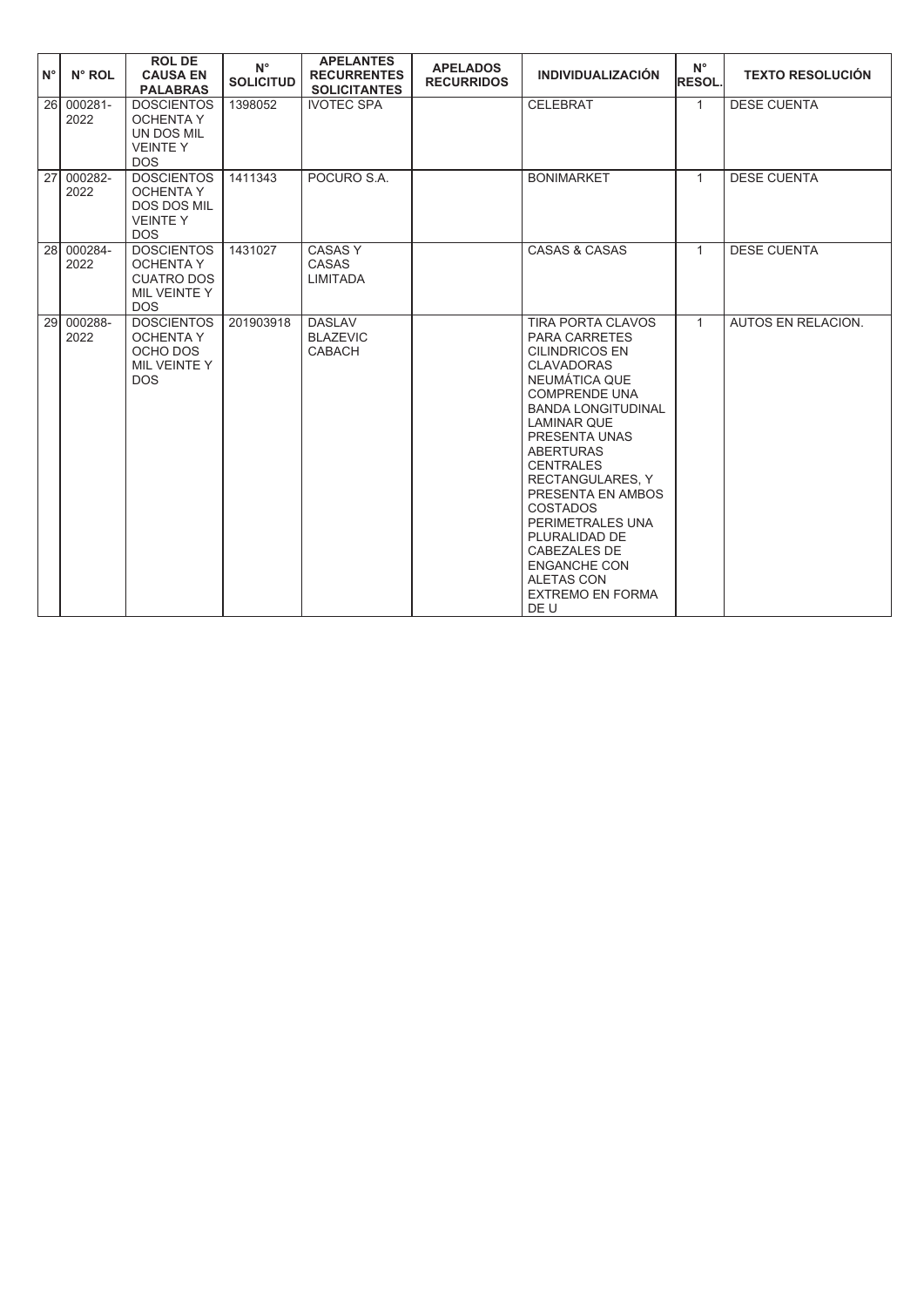| l N°            | N° ROL                      | <b>ROL DE</b><br><b>CAUSA EN</b><br><b>PALABRAS</b>                                         | $N^{\circ}$<br><b>SOLICITUD</b> | <b>APELANTES</b><br><b>RECURRENTES</b><br><b>SOLICITANTES</b> | <b>APELADOS</b><br><b>RECURRIDOS</b> | <b>INDIVIDUALIZACIÓN</b>                                                                                                                                                                                                                                                                                                                                                                                                                                   | $N^{\circ}$<br><b>RESOL.</b> | <b>TEXTO RESOLUCIÓN</b> |
|-----------------|-----------------------------|---------------------------------------------------------------------------------------------|---------------------------------|---------------------------------------------------------------|--------------------------------------|------------------------------------------------------------------------------------------------------------------------------------------------------------------------------------------------------------------------------------------------------------------------------------------------------------------------------------------------------------------------------------------------------------------------------------------------------------|------------------------------|-------------------------|
|                 | $26 \ 000281 -$<br>2022     | <b>DOSCIENTOS</b><br><b>OCHENTA Y</b><br>UN DOS MIL<br><b>VEINTEY</b><br><b>DOS</b>         | 1398052                         | <b>IVOTEC SPA</b>                                             |                                      | <b>CELEBRAT</b>                                                                                                                                                                                                                                                                                                                                                                                                                                            | $\mathbf{1}$                 | <b>DESE CUENTA</b>      |
| $\overline{27}$ | 000282-<br>2022             | <b>DOSCIENTOS</b><br><b>OCHENTA Y</b><br><b>DOS DOS MIL</b><br><b>VEINTEY</b><br><b>DOS</b> | 1411343                         | POCURO S.A.                                                   |                                      | <b>BONIMARKET</b>                                                                                                                                                                                                                                                                                                                                                                                                                                          | $\mathbf{1}$                 | <b>DESE CUENTA</b>      |
| 28 <sup>1</sup> | 000284-<br>2022             | <b>DOSCIENTOS</b><br><b>OCHENTA Y</b><br><b>CUATRO DOS</b><br>MIL VEINTE Y<br><b>DOS</b>    | 1431027                         | <b>CASASY</b><br><b>CASAS</b><br><b>LIMITADA</b>              |                                      | CASAS & CASAS                                                                                                                                                                                                                                                                                                                                                                                                                                              | $\mathbf{1}$                 | <b>DESE CUENTA</b>      |
|                 | $\sqrt{29}$ 000288-<br>2022 | <b>DOSCIENTOS</b><br><b>OCHENTA Y</b><br>OCHO DOS<br>MIL VEINTE Y<br><b>DOS</b>             | 201903918                       | <b>DASLAV</b><br><b>BLAZEVIC</b><br><b>CABACH</b>             |                                      | <b>TIRA PORTA CLAVOS</b><br><b>PARA CARRETES</b><br><b>CILINDRICOS EN</b><br><b>CLAVADORAS</b><br>NEUMÁTICA QUE<br><b>COMPRENDE UNA</b><br><b>BANDA LONGITUDINAL</b><br><b>LAMINAR QUE</b><br>PRESENTA UNAS<br><b>ABERTURAS</b><br><b>CENTRALES</b><br><b>RECTANGULARES, Y</b><br>PRESENTA EN AMBOS<br><b>COSTADOS</b><br>PERIMETRALES UNA<br>PLURALIDAD DE<br>CABEZALES DE<br><b>ENGANCHE CON</b><br><b>ALETAS CON</b><br><b>EXTREMO EN FORMA</b><br>DE U | $\mathbf{1}$                 | AUTOS EN RELACION.      |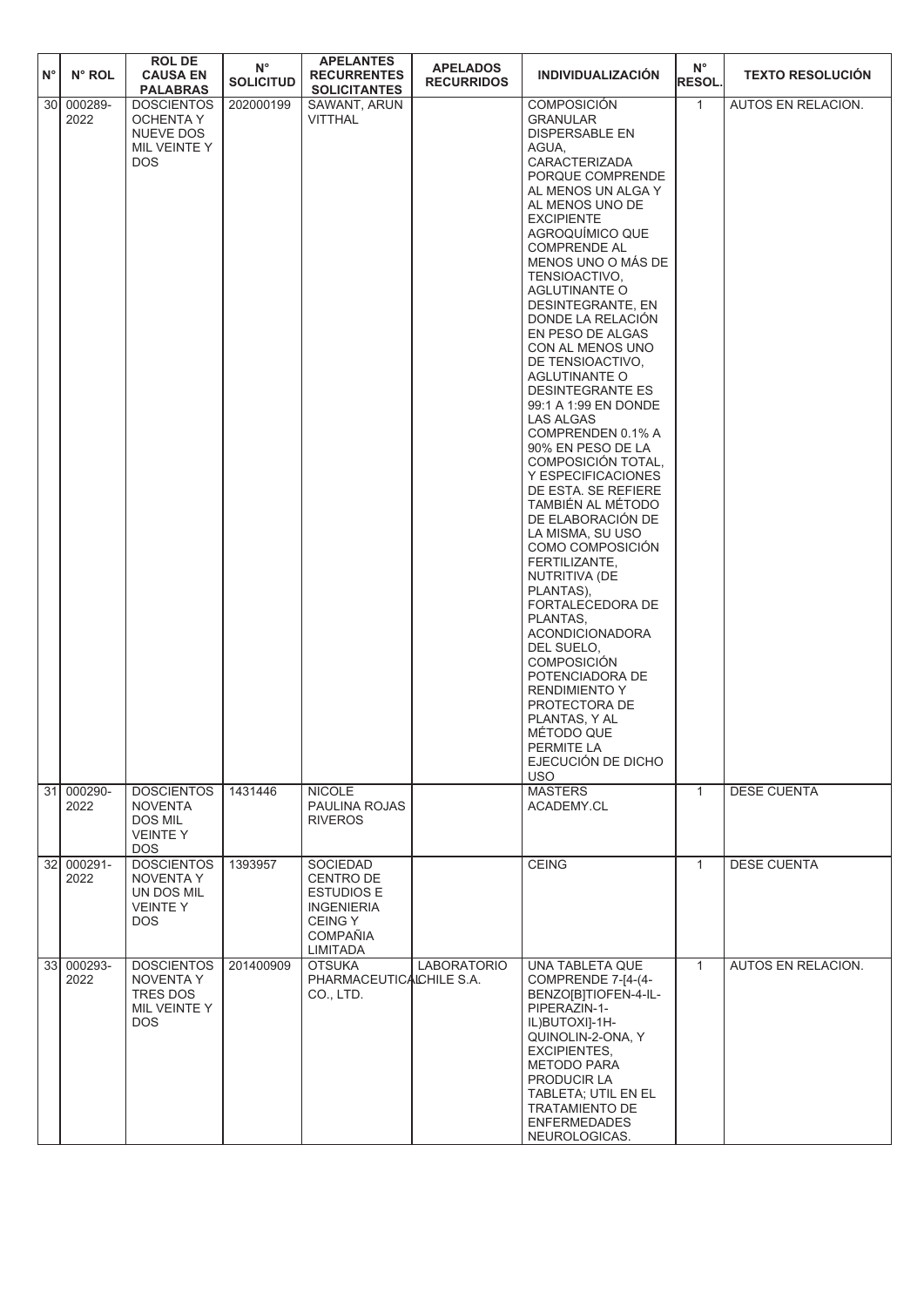| $N^{\circ}$     | N° ROL             | <b>ROL DE</b><br><b>CAUSA EN</b><br><b>PALABRAS</b>                            | $N^{\circ}$<br><b>SOLICITUD</b> | <b>APELANTES</b><br><b>RECURRENTES</b><br><b>SOLICITANTES</b>                                                           | <b>APELADOS</b><br><b>RECURRIDOS</b> | INDIVIDUALIZACIÓN                                                                                                                                                                                                                                                                                                                                                                                                                                                                                                                                                                                                                                                                                                                                                                                                                                                                                                                                                                        | $N^{\circ}$<br><b>RESOL.</b> | <b>TEXTO RESOLUCIÓN</b>   |
|-----------------|--------------------|--------------------------------------------------------------------------------|---------------------------------|-------------------------------------------------------------------------------------------------------------------------|--------------------------------------|------------------------------------------------------------------------------------------------------------------------------------------------------------------------------------------------------------------------------------------------------------------------------------------------------------------------------------------------------------------------------------------------------------------------------------------------------------------------------------------------------------------------------------------------------------------------------------------------------------------------------------------------------------------------------------------------------------------------------------------------------------------------------------------------------------------------------------------------------------------------------------------------------------------------------------------------------------------------------------------|------------------------------|---------------------------|
| 30 <sup>1</sup> | 000289-<br>2022    | <b>DOSCIENTOS</b><br>OCHENTA Y<br>NUEVE DOS<br>MIL VEINTE Y<br><b>DOS</b>      | 202000199                       | SAWANT, ARUN<br>VITTHAL                                                                                                 |                                      | <b>COMPOSICIÓN</b><br><b>GRANULAR</b><br><b>DISPERSABLE EN</b><br>AGUA,<br><b>CARACTERIZADA</b><br>PORQUE COMPRENDE<br>AL MENOS UN ALGA Y<br>AL MENOS UNO DE<br><b>EXCIPIENTE</b><br>AGROQUIMICO QUE<br><b>COMPRENDE AL</b><br>MENOS UNO O MÁS DE<br>TENSIOACTIVO,<br><b>AGLUTINANTE O</b><br>DESINTEGRANTE, EN<br>DONDE LA RELACIÓN<br>EN PESO DE ALGAS<br>CON AL MENOS UNO<br>DE TENSIOACTIVO,<br><b>AGLUTINANTE O</b><br><b>DESINTEGRANTE ES</b><br>99:1 A 1:99 EN DONDE<br><b>LAS ALGAS</b><br>COMPRENDEN 0.1% A<br>90% EN PESO DE LA<br>COMPOSICIÓN TOTAL,<br>Y ESPECIFICACIONES<br>DE ESTA. SE REFIERE<br>TAMBIÉN AL MÉTODO<br>DE ELABORACIÓN DE<br>LA MISMA, SU USO<br>COMO COMPOSICIÓN<br>FERTILIZANTE,<br>NUTRITIVA (DE<br>PLANTAS),<br>FORTALECEDORA DE<br>PLANTAS,<br><b>ACONDICIONADORA</b><br>DEL SUELO.<br><b>COMPOSICIÓN</b><br>POTENCIADORA DE<br><b>RENDIMIENTO Y</b><br>PROTECTORA DE<br>PLANTAS, Y AL<br>MÉTODO QUE<br>PERMITE LA<br>EJECUCIÓN DE DICHO<br><b>USO</b> | $\mathbf{1}$                 | <b>AUTOS EN RELACION.</b> |
| 31              | 000290-<br>2022    | <b>DOSCIENTOS</b><br><b>NOVENTA</b><br>DOS MIL<br><b>VEINTEY</b><br><b>DOS</b> | 1431446                         | <b>NICOLE</b><br>PAULINA ROJAS<br><b>RIVEROS</b>                                                                        |                                      | <b>MASTERS</b><br>ACADEMY.CL                                                                                                                                                                                                                                                                                                                                                                                                                                                                                                                                                                                                                                                                                                                                                                                                                                                                                                                                                             | $\mathbf{1}$                 | <b>DESE CUENTA</b>        |
|                 | 32 000291-<br>2022 | <b>DOSCIENTOS</b><br>NOVENTA Y<br>UN DOS MIL<br><b>VEINTEY</b><br>DOS.         | 1393957                         | <b>SOCIEDAD</b><br>CENTRO DE<br><b>ESTUDIOS E</b><br><b>INGENIERIA</b><br><b>CEING Y</b><br><b>COMPAÑIA</b><br>LIMITADA |                                      | <b>CEING</b>                                                                                                                                                                                                                                                                                                                                                                                                                                                                                                                                                                                                                                                                                                                                                                                                                                                                                                                                                                             | $\mathbf{1}$                 | <b>DESE CUENTA</b>        |
|                 | 33 000293-<br>2022 | <b>DOSCIENTOS</b><br>NOVENTA Y<br>TRES DOS<br>MIL VEINTE Y<br>DOS.             | 201400909                       | <b>OTSUKA</b><br>PHARMACEUTICALCHILE S.A.<br>CO., LTD.                                                                  | <b>LABORATORIO</b>                   | UNA TABLETA QUE<br>COMPRENDE 7-[4-(4-<br>BENZO[B]TIOFEN-4-IL-<br>PIPERAZIN-1-<br>IL)BUTOXI]-1H-<br>QUINOLIN-2-ONA, Y<br><b>EXCIPIENTES,</b><br><b>METODO PARA</b><br>PRODUCIR LA<br>TABLETA; UTIL EN EL<br><b>TRATAMIENTO DE</b><br><b>ENFERMEDADES</b><br>NEUROLOGICAS.                                                                                                                                                                                                                                                                                                                                                                                                                                                                                                                                                                                                                                                                                                                 | $\mathbf{1}$                 | AUTOS EN RELACION.        |